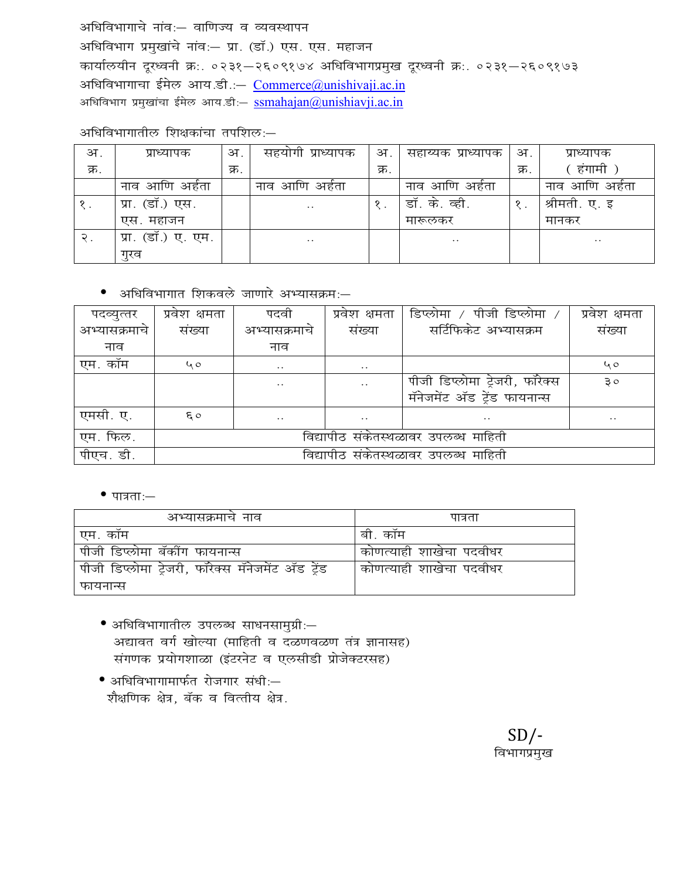अधिविभागाचे नांव:- वाणिज्य व व्यवस्थापन अधिविभाग प्रमुखांचे नांव:- प्रा. (डॉ.) एस. एस. महाजन कार्यालयीन दूरध्वनी क्र:. ०२३१-२६०९१७४ अधिविभागप्रमुख दूरध्वनी क्र:. ०२३१-२६०९१७३ अधिविभागाचा ईमेल आय.डी.: - Commerce@unishivaji.ac.in अधिविभाग प्रमुखांचा ईमेल आय.डी: <u>ssmahajan@unishiavji.ac.in</u>

अधिविभागातील शिक्षकांचा तपशिल:-

| अ.   | प्राध्यापक         | अ.   | सहयोगी प्राध्यापक    | अ.   | सहाय्यक प्राध्यापक | अ.   | प्राध्यापक     |
|------|--------------------|------|----------------------|------|--------------------|------|----------------|
| क्र. |                    | क्र. |                      | क्र. |                    | क्र. | हंगामी         |
|      | नाव आणि अर्हता     |      | नाव आणि अर्हता       |      | नाव आणि अर्हता     |      | नाव आणि अर्हता |
|      | प्रा. (डॉ.) एस.    |      | $\ddot{\phantom{0}}$ | १.   | डॉ. के. व्ही.      |      | श्रीमती. ए. इ  |
|      | एस. महाजन          |      |                      |      | मारूलकर            |      | मानकर          |
| २.   | प्रा. (डॉ.) ए. एम. |      | $\ddot{\phantom{0}}$ |      | $\cdot$ .          |      | $\ddotsc$      |
|      | गुरव               |      |                      |      |                    |      |                |

• अधिविभागात शिकवले जाणारे अभ्यासक्रम:-

| पदव्युत्तर    | प्रवेश क्षमता                        | पदवी          | प्रवेश क्षमता        | डिप्लोमा / पीजी डिप्लोमा       | प्रवेश क्षमता        |  |
|---------------|--------------------------------------|---------------|----------------------|--------------------------------|----------------------|--|
| अभ्यासक्रमाचे | संख्या                               | अभ्यासक्रमाचे | संख्या               | सर्टिफिकेट अभ्यासक्रम          | संख्या               |  |
| नाव           |                                      | नाव           |                      |                                |                      |  |
| एम. कॉम       | 40                                   | $\ddotsc$     | $\ddot{\phantom{0}}$ |                                | 40                   |  |
|               |                                      | $\ddotsc$     | $\ddots$             | पीजी डिप्लोमा ट्रेजरी, फॉरेक्स | ३०                   |  |
|               |                                      |               |                      | मॅनेजमेंट ॲड ट्रेंड फायनान्स   |                      |  |
| एमसी. ए.      | $\epsilon$ o                         | $\ddotsc$     | $\ddot{\phantom{0}}$ | . .                            | $\ddot{\phantom{0}}$ |  |
| एम. फिल.      | विद्यापीठ संकेतस्थळावर उपलब्ध माहिती |               |                      |                                |                      |  |
| पीएच. डी.     | विद्यापीठ संकेतस्थळावर उपलब्ध माहिती |               |                      |                                |                      |  |

 $\bullet$  पात्रता:-

| अभ्यासक्रमाच नाव                                   | पात्रता                 |
|----------------------------------------------------|-------------------------|
| एम. कॉम                                            | बी. कॉम                 |
| पीजी डिप्लोमा बॅकींग फायनान्स                      | कोणत्याही शाखेचा पदवीधर |
| पीजी डिप्लोमा ट्रेजरी, फॉरेक्स मॅनेजमेंट ॲड ट्रेंड | कोणत्याही शाखेचा पदवीधर |
| फायनान्स                                           |                         |

- अधिविभागातील उपलब्ध साधनसामुग्री:-अद्यावत वर्ग खोल्या (माहिती व दळणवळण तंत्र ज्ञानासह) संगणक प्रयोगशाळा (इंटरनेट व एलसीडी प्रोजेक्टरसह)
- अधिविभागामार्फत रोजगार संधी:-शैक्षणिक क्षेत्र, बॅक व वित्तीय क्षेत्र.

 $SD/-$ विभागप्रमुख